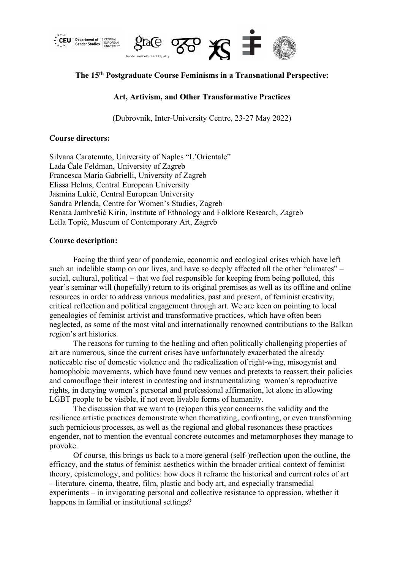



# **The 15th Postgraduate Course Feminisms in a Transnational Perspective:**

## **Art, Artivism, and Other Transformative Practices**

(Dubrovnik, Inter-University Centre, 23-27 May 2022)

### **Course directors:**

Silvana Carotenuto, University of Naples "L'Orientale" Lada Čale Feldman, University of Zagreb Francesca Maria Gabrielli, University of Zagreb Elissa Helms, Central European University Jasmina Lukić, Central European University Sandra Prlenda, Centre for Women's Studies, Zagreb Renata Jambrešić Kirin, Institute of Ethnology and Folklore Research, Zagreb Leila Topić, Museum of Contemporary Art, Zagreb

### **Course description:**

Facing the third year of pandemic, economic and ecological crises which have left such an indelible stamp on our lives, and have so deeply affected all the other "climates" – social, cultural, political – that we feel responsible for keeping from being polluted, this year's seminar will (hopefully) return to its original premises as well as its offline and online resources in order to address various modalities, past and present, of feminist creativity, critical reflection and political engagement through art. We are keen on pointing to local genealogies of feminist artivist and transformative practices, which have often been neglected, as some of the most vital and internationally renowned contributions to the Balkan region's art histories.

The reasons for turning to the healing and often politically challenging properties of art are numerous, since the current crises have unfortunately exacerbated the already noticeable rise of domestic violence and the radicalization of right-wing, misogynist and homophobic movements, which have found new venues and pretexts to reassert their policies and camouflage their interest in contesting and instrumentalizing women's reproductive rights, in denying women's personal and professional affirmation, let alone in allowing LGBT people to be visible, if not even livable forms of humanity.

The discussion that we want to (re)open this year concerns the validity and the resilience artistic practices demonstrate when thematizing, confronting, or even transforming such pernicious processes, as well as the regional and global resonances these practices engender, not to mention the eventual concrete outcomes and metamorphoses they manage to provoke.

Of course, this brings us back to a more general (self-)reflection upon the outline, the efficacy, and the status of feminist aesthetics within the broader critical context of feminist theory, epistemology, and politics: how does it reframe the historical and current roles of art – literature, cinema, theatre, film, plastic and body art, and especially transmedial experiments – in invigorating personal and collective resistance to oppression, whether it happens in familial or institutional settings?